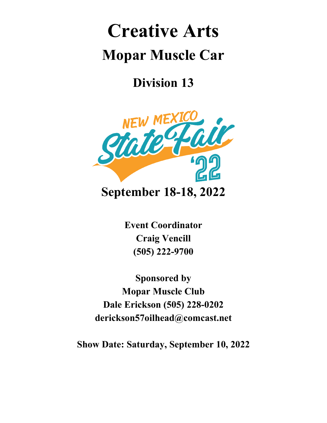# **Creative Arts Mopar Muscle Car**

**Division 13**



**Event Coordinator Craig Vencill (505) 222-9700**

**Sponsored by Mopar Muscle Club Dale Erickson (505) 228-0202 derickson57oilhead@comcast.net**

**Show Date: Saturday, September 10, 2022**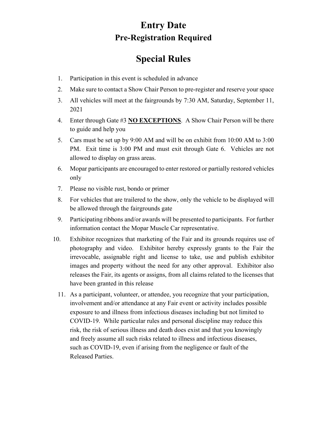#### **Entry Date Pre-Registration Required**

### **Special Rules**

- 1. Participation in this event is scheduled in advance
- 2. Make sure to contact a Show Chair Person to pre-register and reserve your space
- 3. All vehicles will meet at the fairgrounds by 7:30 AM, Saturday, September 11, 2021
- 4. Enter through Gate #3 **NO EXCEPTIONS**. A Show Chair Person will be there to guide and help you
- 5. Cars must be set up by 9:00 AM and will be on exhibit from 10:00 AM to 3:00 PM. Exit time is 3:00 PM and must exit through Gate 6. Vehicles are not allowed to display on grass areas.
- 6. Mopar participants are encouraged to enter restored or partially restored vehicles only
- 7. Please no visible rust, bondo or primer
- 8. For vehicles that are trailered to the show, only the vehicle to be displayed will be allowed through the fairgrounds gate
- 9. Participating ribbons and/or awards will be presented to participants. For further information contact the Mopar Muscle Car representative.
- 10. Exhibitor recognizes that marketing of the Fair and its grounds requires use of photography and video. Exhibitor hereby expressly grants to the Fair the irrevocable, assignable right and license to take, use and publish exhibitor images and property without the need for any other approval. Exhibitor also releases the Fair, its agents or assigns, from all claims related to the licenses that have been granted in this release
	- 11. As a participant, volunteer, or attendee, you recognize that your participation, involvement and/or attendance at any Fair event or activity includes possible exposure to and illness from infectious diseases including but not limited to COVID-19. While particular rules and personal discipline may reduce this risk, the risk of serious illness and death does exist and that you knowingly and freely assume all such risks related to illness and infectious diseases, such as COVID-19, even if arising from the negligence or fault of the Released Parties.